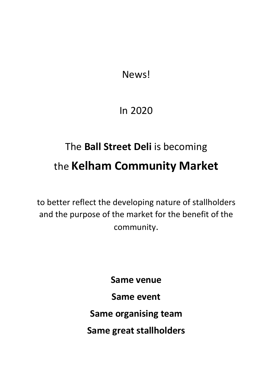News!

# In 2020

# The **Ball Street Deli** is becoming the **Kelham Community Market**

to better reflect the developing nature of stallholders and the purpose of the market for the benefit of the community.

> **Same venue Same event Same organising team Same great stallholders**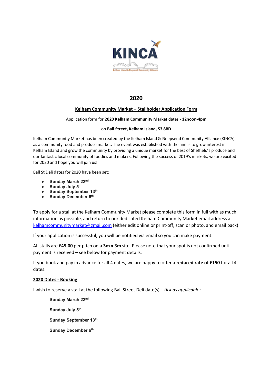

# **2020**

#### **Kelham Community Market – Stallholder Application Form**

#### Application form for **2020 Kelham Community Market** dates - **12noon-4pm**

#### on **Ball Street, Kelham Island, S3 8BD**

Kelham Community Market has been created by the Kelham Island & Neepsend Community Alliance (KINCA) as a community food and produce market. The event was established with the aim is to grow interest in Kelham Island and grow the community by providing a unique market for the best of Sheffield's produce and our fantastic local community of foodies and makers. Following the success of 2019's markets, we are excited for 2020 and hope you will join us!

Ball St Deli dates for 2020 have been set:

- **Sunday March 22<sup>nd</sup>**<br>● Sunday July 5<sup>th</sup>
- 
- **Sunday July 5<sup>th</sup>**<br>● Sunday Sentem ● Sunday September 13<sup>th</sup><br>● Sunday December 6<sup>th</sup>
- **Sunday December 6th**

To apply for a stall at the Kelham Community Market please complete this form in full with as much information as possible, and return to our dedicated Kelham Community Market email address at kelhamcommunitymarket@gmail.com (either edit online or print-off, scan or photo, and email back)

If your application is successful, you will be notified via email so you can make payment.

All stalls are **£45.00** per pitch on a **3m x 3m** site. Please note that your spot is not confirmed until payment is received – see below for payment details.

If you book and pay in advance for all 4 dates, we are happy to offer a **reduced rate of £150** for all 4 dates.

#### **2020 Dates - Booking**

I wish to reserve a stall at the following Ball Street Deli date(s) – *tick as applicable:*

 **Sunday March 22nd** Sunday July 5<sup>th</sup> **Sunday September 13th Sunday December 6th**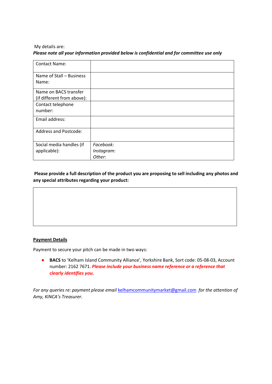#### My details are: *Please note all your information provided below is confidential and for committee use only*

| <b>Contact Name:</b>         |            |
|------------------------------|------------|
| Name of Stall - Business     |            |
| Name:                        |            |
| Name on BACS transfer        |            |
| (if different from above):   |            |
| Contact telephone            |            |
| number:                      |            |
| Email address:               |            |
| <b>Address and Postcode:</b> |            |
| Social media handles (if     | Facebook:  |
| applicable):                 | Instagram: |
|                              | Other:     |

## **Please provide a full description of the product you are proposing to sell including any photos and any special attributes regarding your product:**

#### **Payment Details**

Payment to secure your pitch can be made in two ways:

● **BACS** to 'Kelham Island Community Alliance', Yorkshire Bank, Sort code: 05-08-03, Account number: 2162 7671. *Please include your business name reference or a reference that clearly identifies you.*

*For any queries re: payment please email* kelhamcommunitymarket@gmail.com *for the attention of Amy, KINCA's Treasurer.*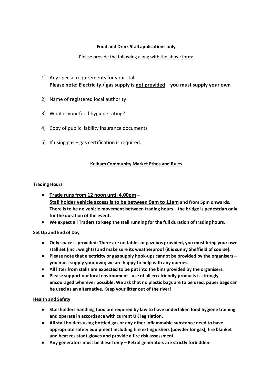## **Food and Drink Stall applications only**

#### Please provide the following along with the above form:

- 1) Any special requirements for your stall **Please note: Electricity / gas supply is not provided – you must supply your own**
- 2) Name of registered local authority
- 3) What is your food hygiene rating?
- 4) Copy of public liability insurance documents
- 5) If using gas gas certification is required.

#### **Kelham Community Market Ethos and Rules**

#### **Trading Hours**

- **Trade runs from 12 noon until 4.00pm – Stall holder vehicle access is to be between 9am to 11am and from 5pm onwards. There is to be no vehicle movement between trading hours – the bridge is pedestrian only for the duration of the event.**
- **We expect all Traders to keep the stall running for the full duration of trading hours.**

#### **Set Up and End of Day**

- **Only space is provided: There are no tables or gazebos provided, you must bring your own stall set (incl. weights) and make sure its weatherproof (it is sunny Sheffield of course).**
- **Please note that electricity or gas supply hook-ups cannot be provided by the organisers – you must supply your own; we are happy to help with any queries.**
- **All litter from stalls are expected to be put into the bins provided by the organisers.**
- **Please support our local environment - use of all eco-friendly products is strongly encouraged wherever possible. We ask that no plastic bags are to be used, paper bags can be used as an alternative. Keep your litter out of the river!**

#### **Health and Safety**

- **Stall holders handling food are required by law to have undertaken food hygiene training and operate in accordance with current UK legislation.**
- **All stall holders using bottled gas or any other inflammable substance need to have appropriate safety equipment including fire extinguishers (powder for gas), fire blanket and heat resistant gloves and provide a fire risk assessment.**
- **Any generators must be diesel only – Petrol generators are strictly forbidden.**